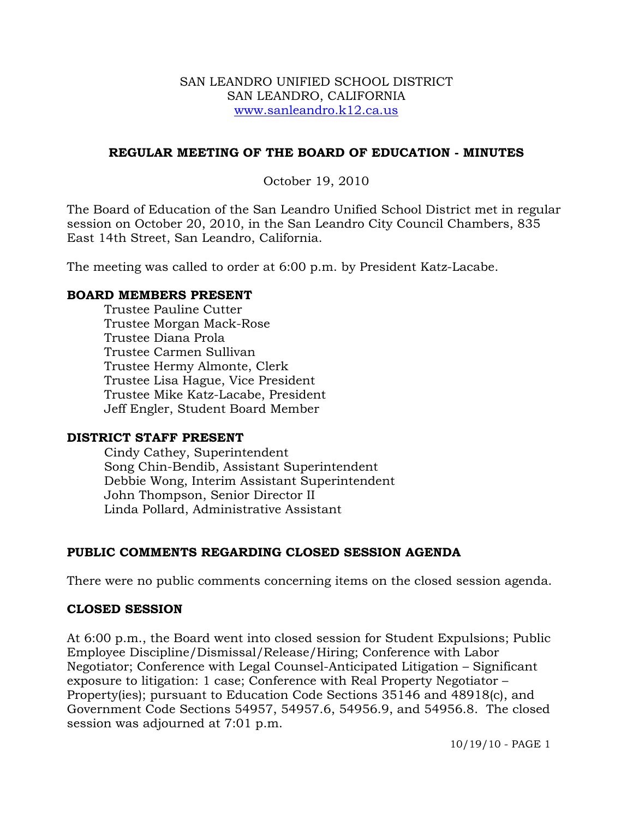#### SAN LEANDRO UNIFIED SCHOOL DISTRICT SAN LEANDRO, CALIFORNIA www.sanleandro.k12.ca.us

### **REGULAR MEETING OF THE BOARD OF EDUCATION - MINUTES**

October 19, 2010

The Board of Education of the San Leandro Unified School District met in regular session on October 20, 2010, in the San Leandro City Council Chambers, 835 East 14th Street, San Leandro, California.

The meeting was called to order at 6:00 p.m. by President Katz-Lacabe.

### **BOARD MEMBERS PRESENT**

Trustee Pauline Cutter Trustee Morgan Mack-Rose Trustee Diana Prola Trustee Carmen Sullivan Trustee Hermy Almonte, Clerk Trustee Lisa Hague, Vice President Trustee Mike Katz-Lacabe, President Jeff Engler, Student Board Member

### **DISTRICT STAFF PRESENT**

Cindy Cathey, Superintendent Song Chin-Bendib, Assistant Superintendent Debbie Wong, Interim Assistant Superintendent John Thompson, Senior Director II Linda Pollard, Administrative Assistant

# **PUBLIC COMMENTS REGARDING CLOSED SESSION AGENDA**

There were no public comments concerning items on the closed session agenda.

# **CLOSED SESSION**

At 6:00 p.m., the Board went into closed session for Student Expulsions; Public Employee Discipline/Dismissal/Release/Hiring; Conference with Labor Negotiator; Conference with Legal Counsel-Anticipated Litigation – Significant exposure to litigation: 1 case; Conference with Real Property Negotiator – Property(ies); pursuant to Education Code Sections 35146 and 48918(c), and Government Code Sections 54957, 54957.6, 54956.9, and 54956.8. The closed session was adjourned at 7:01 p.m.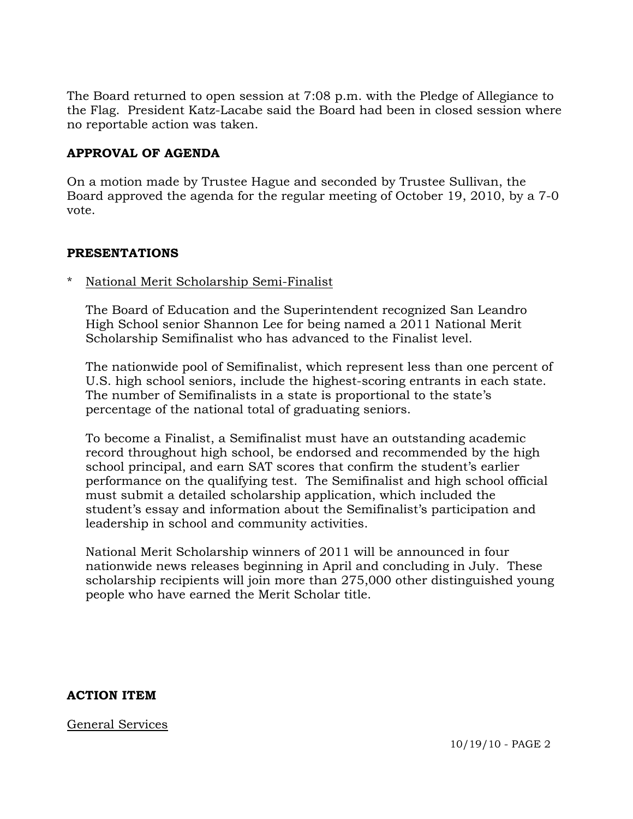The Board returned to open session at 7:08 p.m. with the Pledge of Allegiance to the Flag. President Katz-Lacabe said the Board had been in closed session where no reportable action was taken.

### **APPROVAL OF AGENDA**

On a motion made by Trustee Hague and seconded by Trustee Sullivan, the Board approved the agenda for the regular meeting of October 19, 2010, by a 7-0 vote.

### **PRESENTATIONS**

National Merit Scholarship Semi-Finalist

 The Board of Education and the Superintendent recognized San Leandro High School senior Shannon Lee for being named a 2011 National Merit Scholarship Semifinalist who has advanced to the Finalist level.

 The nationwide pool of Semifinalist, which represent less than one percent of U.S. high school seniors, include the highest-scoring entrants in each state. The number of Semifinalists in a state is proportional to the state's percentage of the national total of graduating seniors.

 To become a Finalist, a Semifinalist must have an outstanding academic record throughout high school, be endorsed and recommended by the high school principal, and earn SAT scores that confirm the student's earlier performance on the qualifying test. The Semifinalist and high school official must submit a detailed scholarship application, which included the student's essay and information about the Semifinalist's participation and leadership in school and community activities.

 National Merit Scholarship winners of 2011 will be announced in four nationwide news releases beginning in April and concluding in July. These scholarship recipients will join more than 275,000 other distinguished young people who have earned the Merit Scholar title.

### **ACTION ITEM**

General Services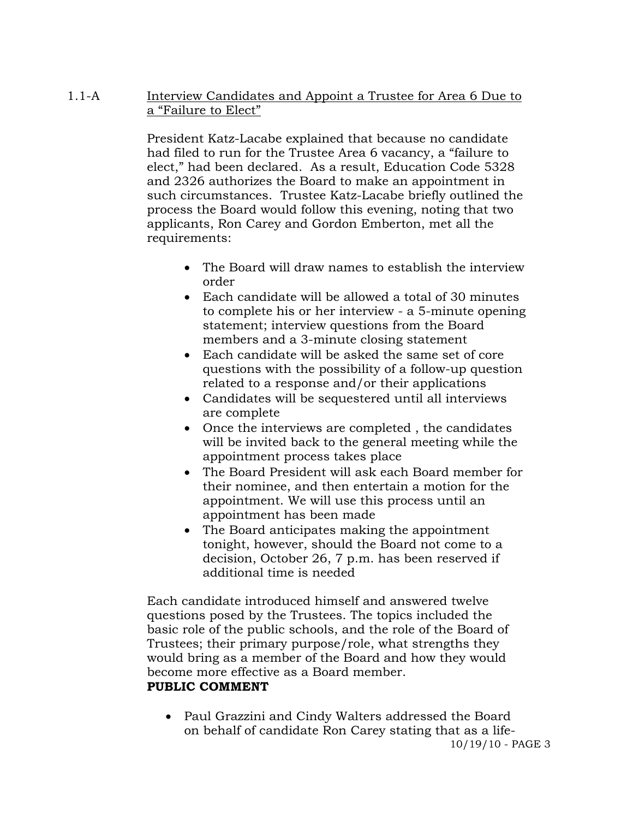### 1.1-A Interview Candidates and Appoint a Trustee for Area 6 Due to a "Failure to Elect"

President Katz-Lacabe explained that because no candidate had filed to run for the Trustee Area 6 vacancy, a "failure to elect," had been declared. As a result, Education Code 5328 and 2326 authorizes the Board to make an appointment in such circumstances. Trustee Katz-Lacabe briefly outlined the process the Board would follow this evening, noting that two applicants, Ron Carey and Gordon Emberton, met all the requirements:

- The Board will draw names to establish the interview order
- Each candidate will be allowed a total of 30 minutes to complete his or her interview - a 5-minute opening statement; interview questions from the Board members and a 3-minute closing statement
- Each candidate will be asked the same set of core questions with the possibility of a follow-up question related to a response and/or their applications
- Candidates will be sequestered until all interviews are complete
- Once the interviews are completed , the candidates will be invited back to the general meeting while the appointment process takes place
- The Board President will ask each Board member for their nominee, and then entertain a motion for the appointment. We will use this process until an appointment has been made
- The Board anticipates making the appointment tonight, however, should the Board not come to a decision, October 26, 7 p.m. has been reserved if additional time is needed

Each candidate introduced himself and answered twelve questions posed by the Trustees. The topics included the basic role of the public schools, and the role of the Board of Trustees; their primary purpose/role, what strengths they would bring as a member of the Board and how they would become more effective as a Board member. **PUBLIC COMMENT** 

 Paul Grazzini and Cindy Walters addressed the Board on behalf of candidate Ron Carey stating that as a life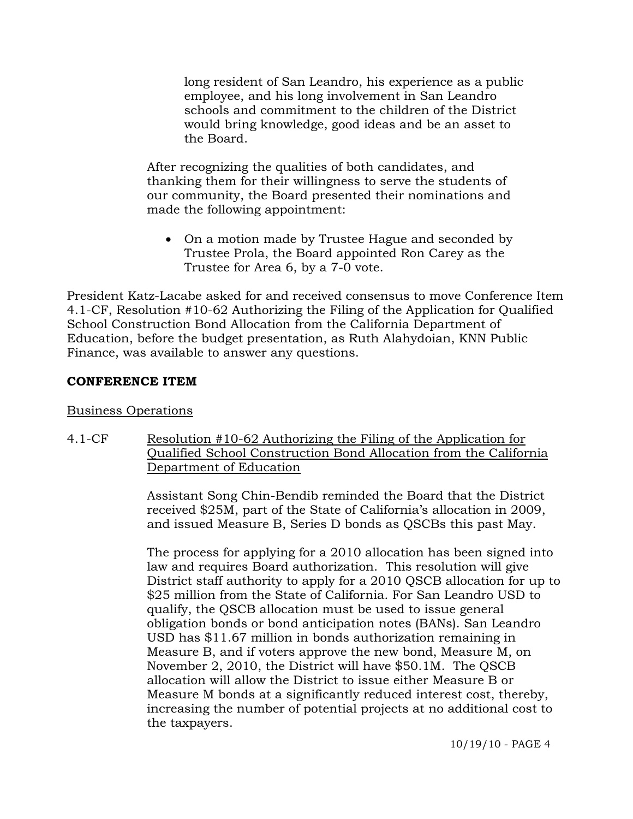long resident of San Leandro, his experience as a public employee, and his long involvement in San Leandro schools and commitment to the children of the District would bring knowledge, good ideas and be an asset to the Board.

After recognizing the qualities of both candidates, and thanking them for their willingness to serve the students of our community, the Board presented their nominations and made the following appointment:

• On a motion made by Trustee Hague and seconded by Trustee Prola, the Board appointed Ron Carey as the Trustee for Area 6, by a 7-0 vote.

President Katz-Lacabe asked for and received consensus to move Conference Item 4.1-CF, Resolution #10-62 Authorizing the Filing of the Application for Qualified School Construction Bond Allocation from the California Department of Education, before the budget presentation, as Ruth Alahydoian, KNN Public Finance, was available to answer any questions.

#### **CONFERENCE ITEM**

#### Business Operations

4.1-CF Resolution #10-62 Authorizing the Filing of the Application for Qualified School Construction Bond Allocation from the California Department of Education

> Assistant Song Chin-Bendib reminded the Board that the District received \$25M, part of the State of California's allocation in 2009, and issued Measure B, Series D bonds as QSCBs this past May.

The process for applying for a 2010 allocation has been signed into law and requires Board authorization. This resolution will give District staff authority to apply for a 2010 QSCB allocation for up to \$25 million from the State of California. For San Leandro USD to qualify, the QSCB allocation must be used to issue general obligation bonds or bond anticipation notes (BANs). San Leandro USD has \$11.67 million in bonds authorization remaining in Measure B, and if voters approve the new bond, Measure M, on November 2, 2010, the District will have \$50.1M. The QSCB allocation will allow the District to issue either Measure B or Measure M bonds at a significantly reduced interest cost, thereby, increasing the number of potential projects at no additional cost to the taxpayers.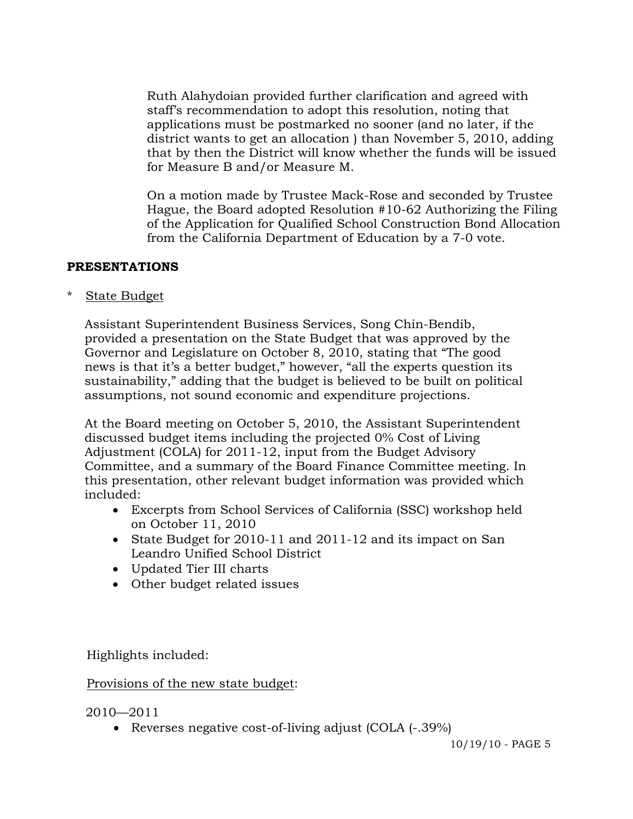Ruth Alahydoian provided further clarification and agreed with staff's recommendation to adopt this resolution, noting that applications must be postmarked no sooner (and no later, if the district wants to get an allocation ) than November 5, 2010, adding that by then the District will know whether the funds will be issued for Measure B and/or Measure M.

On a motion made by Trustee Mack-Rose and seconded by Trustee Hague, the Board adopted Resolution #10-62 Authorizing the Filing of the Application for Qualified School Construction Bond Allocation from the California Department of Education by a 7-0 vote.

## **PRESENTATIONS**

\* State Budget

 Assistant Superintendent Business Services, Song Chin-Bendib, provided a presentation on the State Budget that was approved by the Governor and Legislature on October 8, 2010, stating that "The good news is that it's a better budget," however, "all the experts question its sustainability," adding that the budget is believed to be built on political assumptions, not sound economic and expenditure projections.

 At the Board meeting on October 5, 2010, the Assistant Superintendent discussed budget items including the projected 0% Cost of Living Adjustment (COLA) for 2011-12, input from the Budget Advisory Committee, and a summary of the Board Finance Committee meeting. In this presentation, other relevant budget information was provided which included:

- Excerpts from School Services of California (SSC) workshop held on October 11, 2010
- State Budget for 2010-11 and 2011-12 and its impact on San Leandro Unified School District
- Updated Tier III charts
- Other budget related issues

Highlights included:

### Provisions of the new state budget:

2010—2011

• Reverses negative cost-of-living adjust (COLA  $(-.39\%)$ )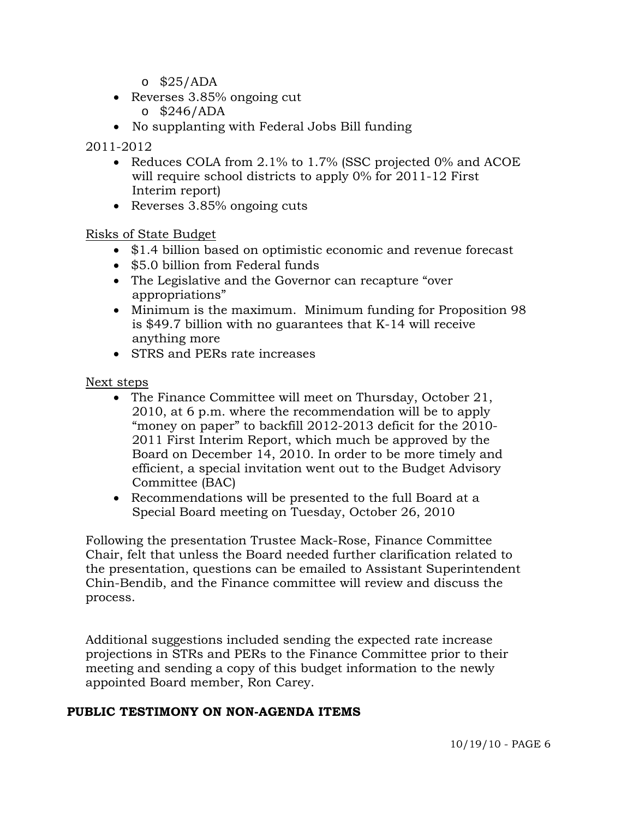- $\circ$  \$25/ADA
- Reverses 3.85% ongoing cut  $\circ$  \$246/ADA

No supplanting with Federal Jobs Bill funding

#### 2011-2012

- Reduces COLA from 2.1% to 1.7% (SSC projected 0% and ACOE will require school districts to apply 0% for 2011-12 First Interim report)
- Reverses 3.85% ongoing cuts

#### Risks of State Budget

- \$1.4 billion based on optimistic economic and revenue forecast
- \$5.0 billion from Federal funds
- The Legislative and the Governor can recapture "over appropriations"
- Minimum is the maximum. Minimum funding for Proposition 98 is \$49.7 billion with no guarantees that K-14 will receive anything more
- STRS and PERs rate increases

#### Next steps

- The Finance Committee will meet on Thursday, October 21, 2010, at 6 p.m. where the recommendation will be to apply "money on paper" to backfill 2012-2013 deficit for the 2010- 2011 First Interim Report, which much be approved by the Board on December 14, 2010. In order to be more timely and efficient, a special invitation went out to the Budget Advisory Committee (BAC)
- Recommendations will be presented to the full Board at a Special Board meeting on Tuesday, October 26, 2010

 Following the presentation Trustee Mack-Rose, Finance Committee Chair, felt that unless the Board needed further clarification related to the presentation, questions can be emailed to Assistant Superintendent Chin-Bendib, and the Finance committee will review and discuss the process.

 Additional suggestions included sending the expected rate increase projections in STRs and PERs to the Finance Committee prior to their meeting and sending a copy of this budget information to the newly appointed Board member, Ron Carey.

### **PUBLIC TESTIMONY ON NON-AGENDA ITEMS**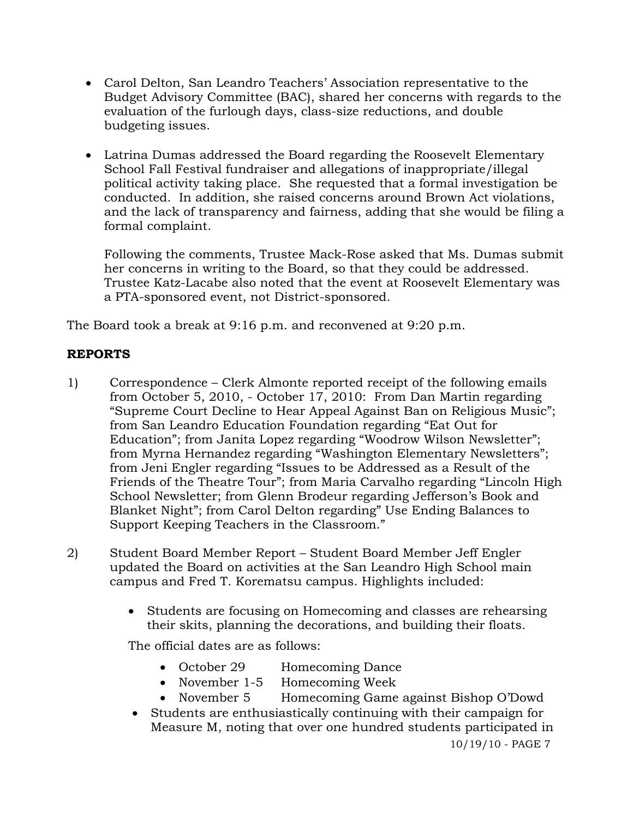- Carol Delton, San Leandro Teachers' Association representative to the Budget Advisory Committee (BAC), shared her concerns with regards to the evaluation of the furlough days, class-size reductions, and double budgeting issues.
- Latrina Dumas addressed the Board regarding the Roosevelt Elementary School Fall Festival fundraiser and allegations of inappropriate/illegal political activity taking place. She requested that a formal investigation be conducted. In addition, she raised concerns around Brown Act violations, and the lack of transparency and fairness, adding that she would be filing a formal complaint.

Following the comments, Trustee Mack-Rose asked that Ms. Dumas submit her concerns in writing to the Board, so that they could be addressed. Trustee Katz-Lacabe also noted that the event at Roosevelt Elementary was a PTA-sponsored event, not District-sponsored.

The Board took a break at 9:16 p.m. and reconvened at 9:20 p.m.

# **REPORTS**

- 1) Correspondence Clerk Almonte reported receipt of the following emails from October 5, 2010, - October 17, 2010: From Dan Martin regarding "Supreme Court Decline to Hear Appeal Against Ban on Religious Music"; from San Leandro Education Foundation regarding "Eat Out for Education"; from Janita Lopez regarding "Woodrow Wilson Newsletter"; from Myrna Hernandez regarding "Washington Elementary Newsletters"; from Jeni Engler regarding "Issues to be Addressed as a Result of the Friends of the Theatre Tour"; from Maria Carvalho regarding "Lincoln High School Newsletter; from Glenn Brodeur regarding Jefferson's Book and Blanket Night"; from Carol Delton regarding" Use Ending Balances to Support Keeping Teachers in the Classroom."
- 2) Student Board Member Report Student Board Member Jeff Engler updated the Board on activities at the San Leandro High School main campus and Fred T. Korematsu campus. Highlights included:
	- Students are focusing on Homecoming and classes are rehearsing their skits, planning the decorations, and building their floats.

The official dates are as follows:

- October 29 Homecoming Dance
- November 1-5 Homecoming Week
- November 5 Homecoming Game against Bishop O'Dowd
- Students are enthusiastically continuing with their campaign for Measure M, noting that over one hundred students participated in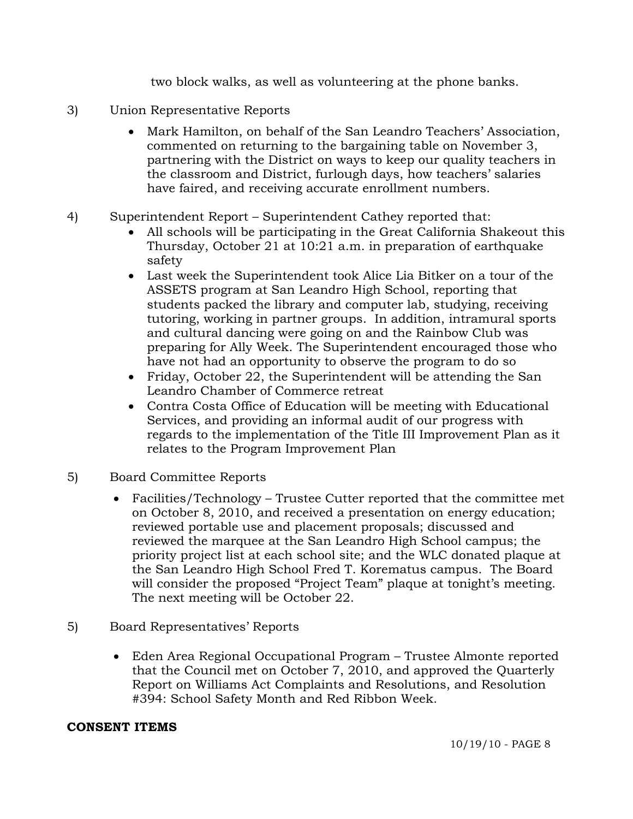two block walks, as well as volunteering at the phone banks.

- 3) Union Representative Reports
	- Mark Hamilton, on behalf of the San Leandro Teachers' Association, commented on returning to the bargaining table on November 3, partnering with the District on ways to keep our quality teachers in the classroom and District, furlough days, how teachers' salaries have faired, and receiving accurate enrollment numbers.
- 4) Superintendent Report Superintendent Cathey reported that:
	- All schools will be participating in the Great California Shakeout this Thursday, October 21 at 10:21 a.m. in preparation of earthquake safety
	- Last week the Superintendent took Alice Lia Bitker on a tour of the ASSETS program at San Leandro High School, reporting that students packed the library and computer lab, studying, receiving tutoring, working in partner groups. In addition, intramural sports and cultural dancing were going on and the Rainbow Club was preparing for Ally Week. The Superintendent encouraged those who have not had an opportunity to observe the program to do so
	- Friday, October 22, the Superintendent will be attending the San Leandro Chamber of Commerce retreat
	- Contra Costa Office of Education will be meeting with Educational Services, and providing an informal audit of our progress with regards to the implementation of the Title III Improvement Plan as it relates to the Program Improvement Plan
- 5) Board Committee Reports
	- Facilities/Technology Trustee Cutter reported that the committee met on October 8, 2010, and received a presentation on energy education; reviewed portable use and placement proposals; discussed and reviewed the marquee at the San Leandro High School campus; the priority project list at each school site; and the WLC donated plaque at the San Leandro High School Fred T. Korematus campus. The Board will consider the proposed "Project Team" plaque at tonight's meeting. The next meeting will be October 22.
- 5) Board Representatives' Reports
	- Eden Area Regional Occupational Program Trustee Almonte reported that the Council met on October 7, 2010, and approved the Quarterly Report on Williams Act Complaints and Resolutions, and Resolution #394: School Safety Month and Red Ribbon Week.

# **CONSENT ITEMS**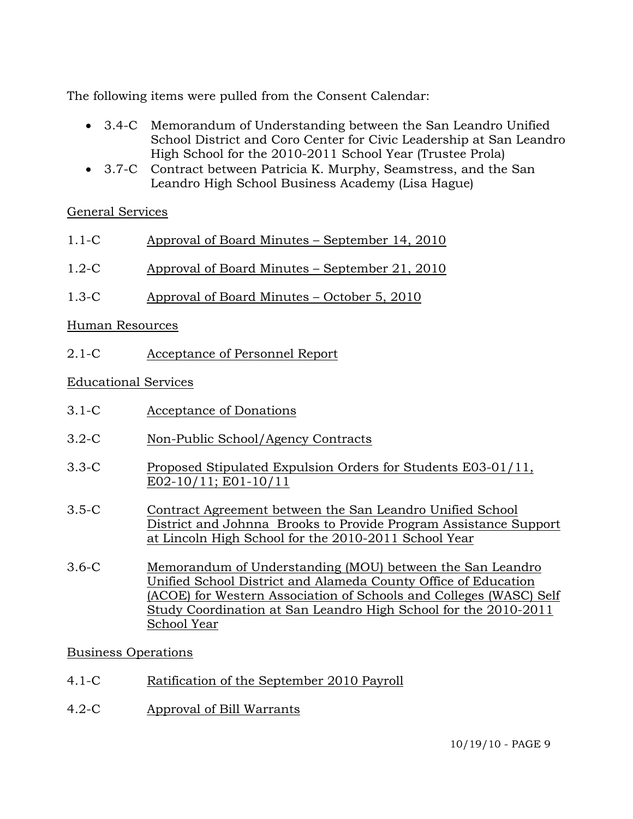The following items were pulled from the Consent Calendar:

- 3.4-C Memorandum of Understanding between the San Leandro Unified School District and Coro Center for Civic Leadership at San Leandro High School for the 2010-2011 School Year (Trustee Prola)
- 3.7-C Contract between Patricia K. Murphy, Seamstress, and the San Leandro High School Business Academy (Lisa Hague)

# General Services

| $1.1-C$ | Approval of Board Minutes – September 14, 2010 |  |
|---------|------------------------------------------------|--|
|         |                                                |  |

- 1.2-C Approval of Board Minutes September 21, 2010
- 1.3-C Approval of Board Minutes October 5, 2010

## Human Resources

2.1-C Acceptance of Personnel Report

## Educational Services

- 3.1-C Acceptance of Donations
- 3.2-C Non-Public School/Agency Contracts
- 3.3-C Proposed Stipulated Expulsion Orders for Students E03-01/11, E02-10/11; E01-10/11
- 3.5-C Contract Agreement between the San Leandro Unified School District and Johnna Brooks to Provide Program Assistance Support at Lincoln High School for the 2010-2011 School Year
- 3.6-C Memorandum of Understanding (MOU) between the San Leandro Unified School District and Alameda County Office of Education (ACOE) for Western Association of Schools and Colleges (WASC) Self Study Coordination at San Leandro High School for the 2010-2011 School Year

### Business Operations

- 4.1-C Ratification of the September 2010 Payroll
- 4.2-C Approval of Bill Warrants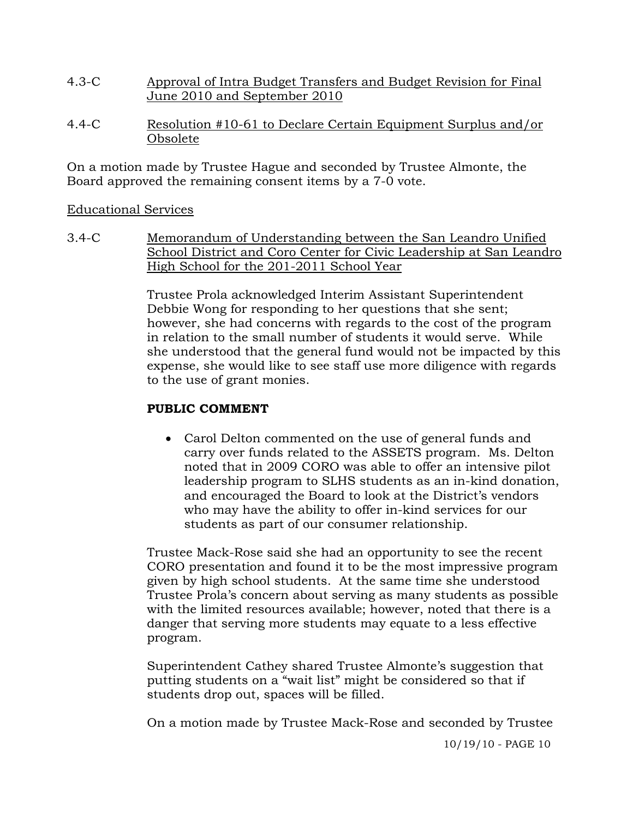- 4.3-C Approval of Intra Budget Transfers and Budget Revision for Final June 2010 and September 2010
- 4.4-C Resolution #10-61 to Declare Certain Equipment Surplus and/or Obsolete

On a motion made by Trustee Hague and seconded by Trustee Almonte, the Board approved the remaining consent items by a 7-0 vote.

### Educational Services

3.4-C Memorandum of Understanding between the San Leandro Unified School District and Coro Center for Civic Leadership at San Leandro High School for the 201-2011 School Year

> Trustee Prola acknowledged Interim Assistant Superintendent Debbie Wong for responding to her questions that she sent; however, she had concerns with regards to the cost of the program in relation to the small number of students it would serve. While she understood that the general fund would not be impacted by this expense, she would like to see staff use more diligence with regards to the use of grant monies.

# **PUBLIC COMMENT**

 Carol Delton commented on the use of general funds and carry over funds related to the ASSETS program. Ms. Delton noted that in 2009 CORO was able to offer an intensive pilot leadership program to SLHS students as an in-kind donation, and encouraged the Board to look at the District's vendors who may have the ability to offer in-kind services for our students as part of our consumer relationship.

Trustee Mack-Rose said she had an opportunity to see the recent CORO presentation and found it to be the most impressive program given by high school students. At the same time she understood Trustee Prola's concern about serving as many students as possible with the limited resources available; however, noted that there is a danger that serving more students may equate to a less effective program.

Superintendent Cathey shared Trustee Almonte's suggestion that putting students on a "wait list" might be considered so that if students drop out, spaces will be filled.

On a motion made by Trustee Mack-Rose and seconded by Trustee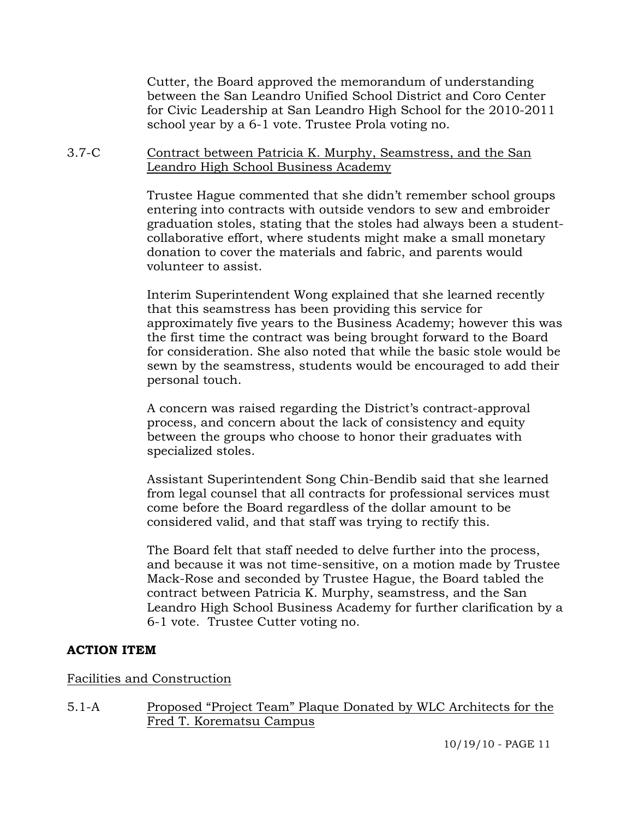Cutter, the Board approved the memorandum of understanding between the San Leandro Unified School District and Coro Center for Civic Leadership at San Leandro High School for the 2010-2011 school year by a 6-1 vote. Trustee Prola voting no.

3.7-C Contract between Patricia K. Murphy, Seamstress, and the San Leandro High School Business Academy

> Trustee Hague commented that she didn't remember school groups entering into contracts with outside vendors to sew and embroider graduation stoles, stating that the stoles had always been a studentcollaborative effort, where students might make a small monetary donation to cover the materials and fabric, and parents would volunteer to assist.

> Interim Superintendent Wong explained that she learned recently that this seamstress has been providing this service for approximately five years to the Business Academy; however this was the first time the contract was being brought forward to the Board for consideration. She also noted that while the basic stole would be sewn by the seamstress, students would be encouraged to add their personal touch.

A concern was raised regarding the District's contract-approval process, and concern about the lack of consistency and equity between the groups who choose to honor their graduates with specialized stoles.

Assistant Superintendent Song Chin-Bendib said that she learned from legal counsel that all contracts for professional services must come before the Board regardless of the dollar amount to be considered valid, and that staff was trying to rectify this.

The Board felt that staff needed to delve further into the process, and because it was not time-sensitive, on a motion made by Trustee Mack-Rose and seconded by Trustee Hague, the Board tabled the contract between Patricia K. Murphy, seamstress, and the San Leandro High School Business Academy for further clarification by a 6-1 vote. Trustee Cutter voting no.

### **ACTION ITEM**

Facilities and Construction

5.1-A Proposed "Project Team" Plaque Donated by WLC Architects for the Fred T. Korematsu Campus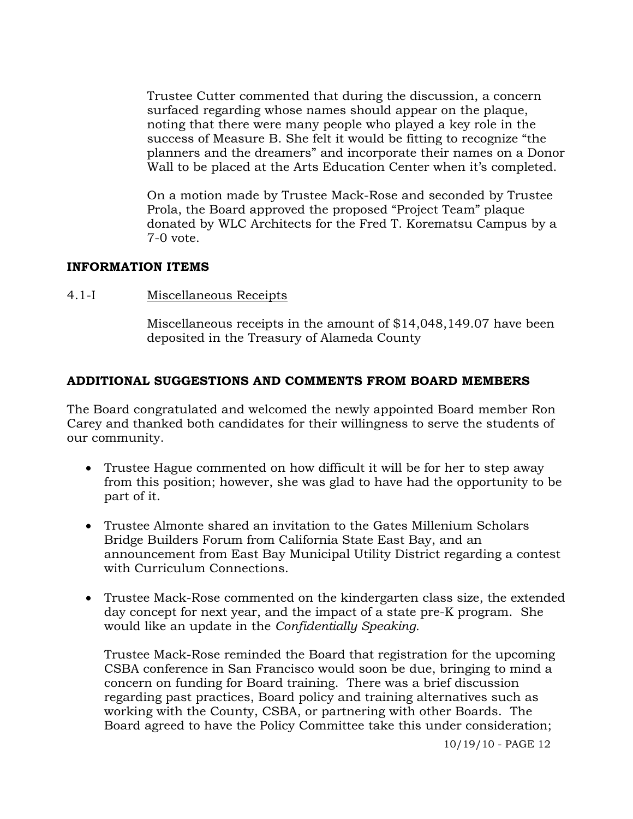Trustee Cutter commented that during the discussion, a concern surfaced regarding whose names should appear on the plaque, noting that there were many people who played a key role in the success of Measure B. She felt it would be fitting to recognize "the planners and the dreamers" and incorporate their names on a Donor Wall to be placed at the Arts Education Center when it's completed.

On a motion made by Trustee Mack-Rose and seconded by Trustee Prola, the Board approved the proposed "Project Team" plaque donated by WLC Architects for the Fred T. Korematsu Campus by a 7-0 vote.

#### **INFORMATION ITEMS**

4.1-I Miscellaneous Receipts

Miscellaneous receipts in the amount of \$14,048,149.07 have been deposited in the Treasury of Alameda County

### **ADDITIONAL SUGGESTIONS AND COMMENTS FROM BOARD MEMBERS**

The Board congratulated and welcomed the newly appointed Board member Ron Carey and thanked both candidates for their willingness to serve the students of our community.

- Trustee Hague commented on how difficult it will be for her to step away from this position; however, she was glad to have had the opportunity to be part of it.
- Trustee Almonte shared an invitation to the Gates Millenium Scholars Bridge Builders Forum from California State East Bay, and an announcement from East Bay Municipal Utility District regarding a contest with Curriculum Connections.
- Trustee Mack-Rose commented on the kindergarten class size, the extended day concept for next year, and the impact of a state pre-K program. She would like an update in the *Confidentially Speaking.*

Trustee Mack-Rose reminded the Board that registration for the upcoming CSBA conference in San Francisco would soon be due, bringing to mind a concern on funding for Board training. There was a brief discussion regarding past practices, Board policy and training alternatives such as working with the County, CSBA, or partnering with other Boards. The Board agreed to have the Policy Committee take this under consideration;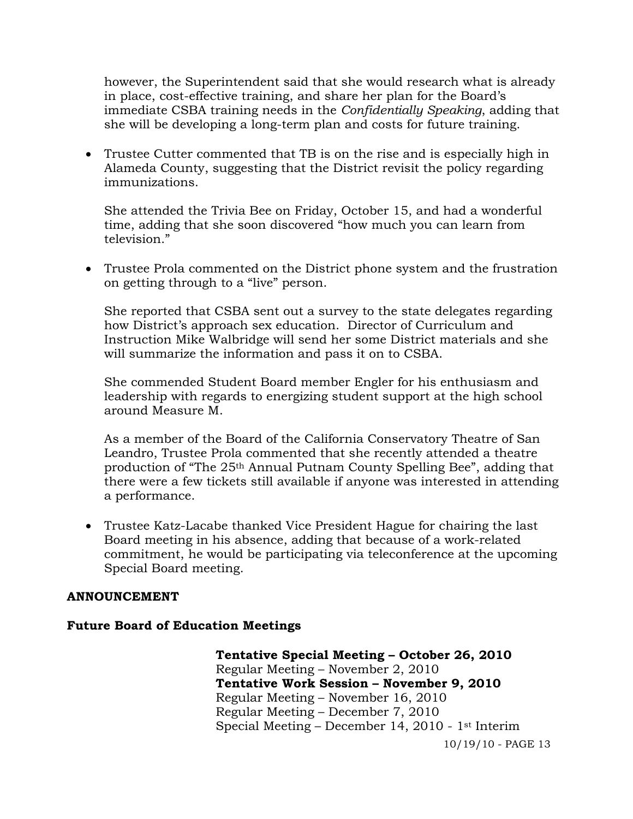however, the Superintendent said that she would research what is already in place, cost-effective training, and share her plan for the Board's immediate CSBA training needs in the *Confidentially Speaking*, adding that she will be developing a long-term plan and costs for future training.

 Trustee Cutter commented that TB is on the rise and is especially high in Alameda County, suggesting that the District revisit the policy regarding immunizations.

She attended the Trivia Bee on Friday, October 15, and had a wonderful time, adding that she soon discovered "how much you can learn from television."

 Trustee Prola commented on the District phone system and the frustration on getting through to a "live" person.

She reported that CSBA sent out a survey to the state delegates regarding how District's approach sex education. Director of Curriculum and Instruction Mike Walbridge will send her some District materials and she will summarize the information and pass it on to CSBA.

She commended Student Board member Engler for his enthusiasm and leadership with regards to energizing student support at the high school around Measure M.

As a member of the Board of the California Conservatory Theatre of San Leandro, Trustee Prola commented that she recently attended a theatre production of "The 25th Annual Putnam County Spelling Bee", adding that there were a few tickets still available if anyone was interested in attending a performance.

 Trustee Katz-Lacabe thanked Vice President Hague for chairing the last Board meeting in his absence, adding that because of a work-related commitment, he would be participating via teleconference at the upcoming Special Board meeting.

### **ANNOUNCEMENT**

#### **Future Board of Education Meetings**

10/19/10 - PAGE 13 **Tentative Special Meeting – October 26, 2010**  Regular Meeting – November 2, 2010  **Tentative Work Session – November 9, 2010**  Regular Meeting – November 16, 2010 Regular Meeting – December 7, 2010 Special Meeting – December 14, 2010 - 1st Interim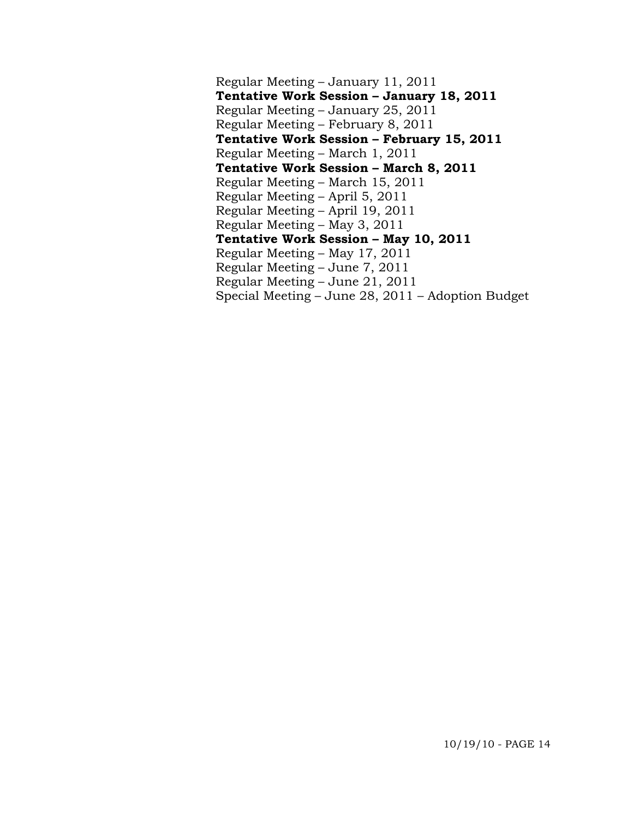Regular Meeting – January 11, 2011  **Tentative Work Session – January 18, 2011**  Regular Meeting – January 25, 2011 Regular Meeting – February 8, 2011  **Tentative Work Session – February 15, 2011**  Regular Meeting – March 1, 2011  **Tentative Work Session – March 8, 2011**  Regular Meeting – March 15, 2011 Regular Meeting – April 5, 2011 Regular Meeting – April 19, 2011 Regular Meeting – May 3, 2011  **Tentative Work Session – May 10, 2011**  Regular Meeting – May 17, 2011 Regular Meeting – June 7, 2011 Regular Meeting – June 21, 2011 Special Meeting – June 28, 2011 – Adoption Budget